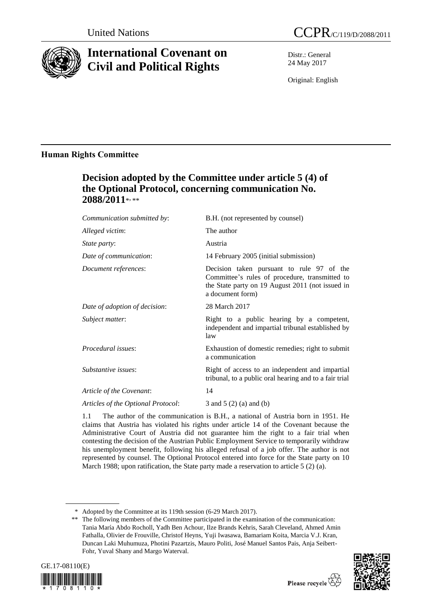

# **International Covenant on Civil and Political Rights**

Distr.: General 24 May 2017

Original: English

### **Human Rights Committee**

## **Decision adopted by the Committee under article 5 (4) of the Optional Protocol, concerning communication No. 2088/2011**\* , \*\*

| Communication submitted by:        | B.H. (not represented by counsel)                                                                                                                                   |
|------------------------------------|---------------------------------------------------------------------------------------------------------------------------------------------------------------------|
| Alleged victim:                    | The author                                                                                                                                                          |
| <i>State party:</i>                | Austria                                                                                                                                                             |
| Date of communication:             | 14 February 2005 (initial submission)                                                                                                                               |
| Document references:               | Decision taken pursuant to rule 97 of the<br>Committee's rules of procedure, transmitted to<br>the State party on 19 August 2011 (not issued in<br>a document form) |
| Date of adoption of decision:      | 28 March 2017                                                                                                                                                       |
| Subject matter:                    | Right to a public hearing by a competent,<br>independent and impartial tribunal established by<br>law                                                               |
| <i>Procedural issues:</i>          | Exhaustion of domestic remedies; right to submit<br>a communication                                                                                                 |
| Substantive issues:                | Right of access to an independent and impartial<br>tribunal, to a public oral hearing and to a fair trial                                                           |
| Article of the Covenant:           | 14                                                                                                                                                                  |
| Articles of the Optional Protocol: | 3 and 5 $(2)$ (a) and (b)                                                                                                                                           |

1.1 The author of the communication is B.H., a national of Austria born in 1951. He claims that Austria has violated his rights under article 14 of the Covenant because the Administrative Court of Austria did not guarantee him the right to a fair trial when contesting the decision of the Austrian Public Employment Service to temporarily withdraw his unemployment benefit, following his alleged refusal of a job offer. The author is not represented by counsel. The Optional Protocol entered into force for the State party on 10 March 1988; upon ratification, the State party made a reservation to article 5 (2) (a).

<sup>\*\*</sup> The following members of the Committee participated in the examination of the communication: Tania María Abdo Rocholl, Yadh Ben Achour, Ilze Brands Kehris, Sarah Cleveland, Ahmed Amin Fathalla, Olivier de Frouville, Christof Heyns, Yuji Iwasawa, Bamariam Koita, Marcia V.J. Kran, Duncan Laki Muhumuza, Photini Pazartzis, Mauro Politi, José Manuel Santos Pais, Anja Seibert-Fohr, Yuval Shany and Margo Waterval.





<sup>\*</sup> Adopted by the Committee at its 119th session (6-29 March 2017).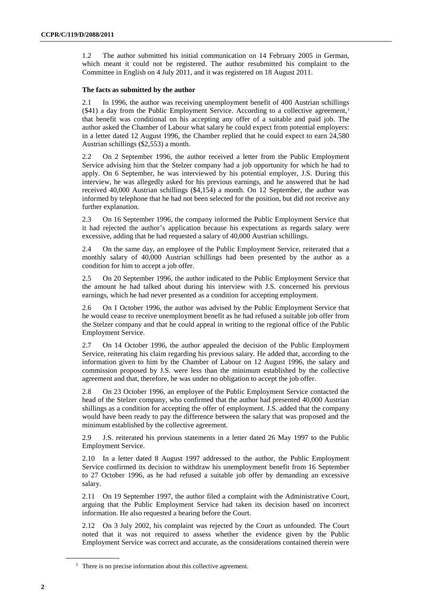1.2 The author submitted his initial communication on 14 February 2005 in German, which meant it could not be registered. The author resubmitted his complaint to the Committee in English on 4 July 2011, and it was registered on 18 August 2011.

#### **The facts as submitted by the author**

2.1 In 1996, the author was receiving unemployment benefit of 400 Austrian schillings (\$41) a day from the Public Employment Service. According to a collective agreement,<sup>1</sup> that benefit was conditional on his accepting any offer of a suitable and paid job. The author asked the Chamber of Labour what salary he could expect from potential employers: in a letter dated 12 August 1996, the Chamber replied that he could expect to earn 24,580 Austrian schillings (\$2,553) a month.

2.2 On 2 September 1996, the author received a letter from the Public Employment Service advising him that the Stelzer company had a job opportunity for which he had to apply. On 6 September, he was interviewed by his potential employer, J.S. During this interview, he was allegedly asked for his previous earnings, and he answered that he had received 40,000 Austrian schillings (\$4,154) a month. On 12 September, the author was informed by telephone that he had not been selected for the position, but did not receive any further explanation.

2.3 On 16 September 1996, the company informed the Public Employment Service that it had rejected the author's application because his expectations as regards salary were excessive, adding that he had requested a salary of 40,000 Austrian schillings.

2.4 On the same day, an employee of the Public Employment Service, reiterated that a monthly salary of 40,000 Austrian schillings had been presented by the author as a condition for him to accept a job offer.

2.5 On 20 September 1996, the author indicated to the Public Employment Service that the amount he had talked about during his interview with J.S. concerned his previous earnings, which he had never presented as a condition for accepting employment.

2.6 On 1 October 1996, the author was advised by the Public Employment Service that he would cease to receive unemployment benefit as he had refused a suitable job offer from the Stelzer company and that he could appeal in writing to the regional office of the Public Employment Service.

2.7 On 14 October 1996, the author appealed the decision of the Public Employment Service, reiterating his claim regarding his previous salary. He added that, according to the information given to him by the Chamber of Labour on 12 August 1996, the salary and commission proposed by J.S. were less than the minimum established by the collective agreement and that, therefore, he was under no obligation to accept the job offer.

2.8 On 23 October 1996, an employee of the Public Employment Service contacted the head of the Stelzer company, who confirmed that the author had presented 40,000 Austrian shillings as a condition for accepting the offer of employment. J.S. added that the company would have been ready to pay the difference between the salary that was proposed and the minimum established by the collective agreement.

2.9 J.S. reiterated his previous statements in a letter dated 26 May 1997 to the Public Employment Service.

2.10 In a letter dated 8 August 1997 addressed to the author, the Public Employment Service confirmed its decision to withdraw his unemployment benefit from 16 September to 27 October 1996, as he had refused a suitable job offer by demanding an excessive salary.

2.11 On 19 September 1997, the author filed a complaint with the Administrative Court, arguing that the Public Employment Service had taken its decision based on incorrect information. He also requested a hearing before the Court.

2.12 On 3 July 2002, his complaint was rejected by the Court as unfounded. The Court noted that it was not required to assess whether the evidence given by the Public Employment Service was correct and accurate, as the considerations contained therein were

 $<sup>1</sup>$  There is no precise information about this collective agreement.</sup>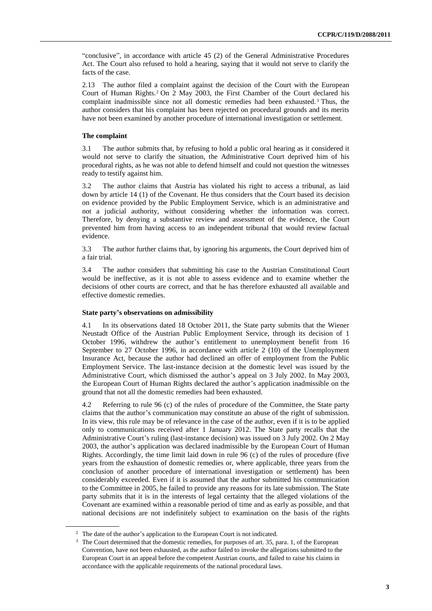"conclusive", in accordance with article 45 (2) of the General Administrative Procedures Act. The Court also refused to hold a hearing, saying that it would not serve to clarify the facts of the case.

2.13 The author filed a complaint against the decision of the Court with the European Court of Human Rights.<sup>2</sup> On 2 May 2003, the First Chamber of the Court declared his complaint inadmissible since not all domestic remedies had been exhausted. <sup>3</sup> Thus, the author considers that his complaint has been rejected on procedural grounds and its merits have not been examined by another procedure of international investigation or settlement.

#### **The complaint**

3.1 The author submits that, by refusing to hold a public oral hearing as it considered it would not serve to clarify the situation, the Administrative Court deprived him of his procedural rights, as he was not able to defend himself and could not question the witnesses ready to testify against him.

3.2 The author claims that Austria has violated his right to access a tribunal, as laid down by article 14 (1) of the Covenant. He thus considers that the Court based its decision on evidence provided by the Public Employment Service, which is an administrative and not a judicial authority, without considering whether the information was correct. Therefore, by denying a substantive review and assessment of the evidence, the Court prevented him from having access to an independent tribunal that would review factual evidence.

3.3 The author further claims that, by ignoring his arguments, the Court deprived him of a fair trial.

3.4 The author considers that submitting his case to the Austrian Constitutional Court would be ineffective, as it is not able to assess evidence and to examine whether the decisions of other courts are correct, and that he has therefore exhausted all available and effective domestic remedies.

#### **State party's observations on admissibility**

4.1 In its observations dated 18 October 2011, the State party submits that the Wiener Neustadt Office of the Austrian Public Employment Service, through its decision of 1 October 1996, withdrew the author's entitlement to unemployment benefit from 16 September to 27 October 1996, in accordance with article 2 (10) of the Unemployment Insurance Act, because the author had declined an offer of employment from the Public Employment Service. The last-instance decision at the domestic level was issued by the Administrative Court, which dismissed the author's appeal on 3 July 2002. In May 2003, the European Court of Human Rights declared the author's application inadmissible on the ground that not all the domestic remedies had been exhausted.

4.2 Referring to rule 96 (c) of the rules of procedure of the Committee, the State party claims that the author's communication may constitute an abuse of the right of submission. In its view, this rule may be of relevance in the case of the author, even if it is to be applied only to communications received after 1 January 2012. The State party recalls that the Administrative Court's ruling (last-instance decision) was issued on 3 July 2002. On 2 May 2003, the author's application was declared inadmissible by the European Court of Human Rights. Accordingly, the time limit laid down in rule 96 (c) of the rules of procedure (five years from the exhaustion of domestic remedies or, where applicable, three years from the conclusion of another procedure of international investigation or settlement) has been considerably exceeded. Even if it is assumed that the author submitted his communication to the Committee in 2005, he failed to provide any reasons for its late submission. The State party submits that it is in the interests of legal certainty that the alleged violations of the Covenant are examined within a reasonable period of time and as early as possible, and that national decisions are not indefinitely subject to examination on the basis of the rights

<sup>&</sup>lt;sup>2</sup> The date of the author's application to the European Court is not indicated.

<sup>3</sup> The Court determined that the domestic remedies, for purposes of art. 35, para. 1, of the European Convention, have not been exhausted, as the author failed to invoke the allegations submitted to the European Court in an appeal before the competent Austrian courts, and failed to raise his claims in accordance with the applicable requirements of the national procedural laws.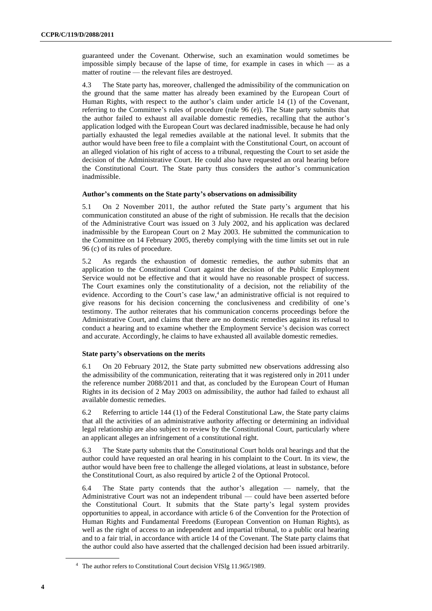guaranteed under the Covenant. Otherwise, such an examination would sometimes be impossible simply because of the lapse of time, for example in cases in which — as a matter of routine — the relevant files are destroyed.

4.3 The State party has, moreover, challenged the admissibility of the communication on the ground that the same matter has already been examined by the European Court of Human Rights, with respect to the author's claim under article 14 (1) of the Covenant, referring to the Committee's rules of procedure (rule 96 (e)). The State party submits that the author failed to exhaust all available domestic remedies, recalling that the author's application lodged with the European Court was declared inadmissible, because he had only partially exhausted the legal remedies available at the national level. It submits that the author would have been free to file a complaint with the Constitutional Court, on account of an alleged violation of his right of access to a tribunal, requesting the Court to set aside the decision of the Administrative Court. He could also have requested an oral hearing before the Constitutional Court. The State party thus considers the author's communication inadmissible.

#### **Author's comments on the State party's observations on admissibility**

5.1 On 2 November 2011, the author refuted the State party's argument that his communication constituted an abuse of the right of submission. He recalls that the decision of the Administrative Court was issued on 3 July 2002, and his application was declared inadmissible by the European Court on 2 May 2003. He submitted the communication to the Committee on 14 February 2005, thereby complying with the time limits set out in rule 96 (c) of its rules of procedure.

5.2 As regards the exhaustion of domestic remedies, the author submits that an application to the Constitutional Court against the decision of the Public Employment Service would not be effective and that it would have no reasonable prospect of success. The Court examines only the constitutionality of a decision, not the reliability of the evidence. According to the Court's case law,<sup>4</sup> an administrative official is not required to give reasons for his decision concerning the conclusiveness and credibility of one's testimony. The author reiterates that his communication concerns proceedings before the Administrative Court, and claims that there are no domestic remedies against its refusal to conduct a hearing and to examine whether the Employment Service's decision was correct and accurate. Accordingly, he claims to have exhausted all available domestic remedies.

#### **State party's observations on the merits**

6.1 On 20 February 2012, the State party submitted new observations addressing also the admissibility of the communication, reiterating that it was registered only in 2011 under the reference number 2088/2011 and that, as concluded by the European Court of Human Rights in its decision of 2 May 2003 on admissibility, the author had failed to exhaust all available domestic remedies.

6.2 Referring to article 144 (1) of the Federal Constitutional Law, the State party claims that all the activities of an administrative authority affecting or determining an individual legal relationship are also subject to review by the Constitutional Court, particularly where an applicant alleges an infringement of a constitutional right.

6.3 The State party submits that the Constitutional Court holds oral hearings and that the author could have requested an oral hearing in his complaint to the Court. In its view, the author would have been free to challenge the alleged violations, at least in substance, before the Constitutional Court, as also required by article 2 of the Optional Protocol.

6.4 The State party contends that the author's allegation — namely, that the Administrative Court was not an independent tribunal — could have been asserted before the Constitutional Court. It submits that the State party's legal system provides opportunities to appeal, in accordance with article 6 of the Convention for the Protection of Human Rights and Fundamental Freedoms (European Convention on Human Rights), as well as the right of access to an independent and impartial tribunal, to a public oral hearing and to a fair trial, in accordance with article 14 of the Covenant. The State party claims that the author could also have asserted that the challenged decision had been issued arbitrarily.

<sup>4</sup> The author refers to Constitutional Court decision VfSlg 11.965/1989.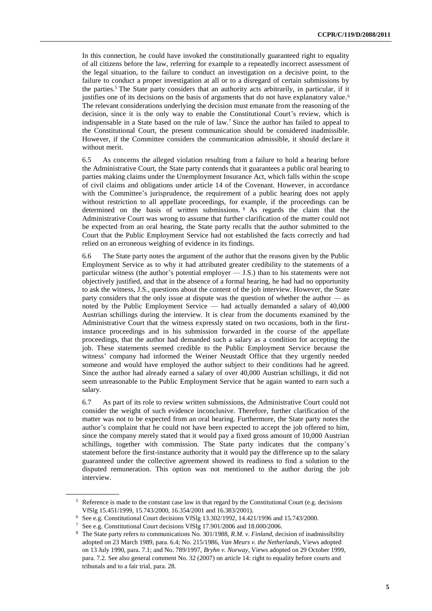In this connection, he could have invoked the constitutionally guaranteed right to equality of all citizens before the law, referring for example to a repeatedly incorrect assessment of the legal situation, to the failure to conduct an investigation on a decisive point, to the failure to conduct a proper investigation at all or to a disregard of certain submissions by the parties.<sup>5</sup> The State party considers that an authority acts arbitrarily, in particular, if it justifies one of its decisions on the basis of arguments that do not have explanatory value.<sup>6</sup> The relevant considerations underlying the decision must emanate from the reasoning of the decision, since it is the only way to enable the Constitutional Court's review, which is indispensable in a State based on the rule of law.<sup>7</sup> Since the author has failed to appeal to the Constitutional Court, the present communication should be considered inadmissible. However, if the Committee considers the communication admissible, it should declare it without merit.

6.5 As concerns the alleged violation resulting from a failure to hold a hearing before the Administrative Court, the State party contends that it guarantees a public oral hearing to parties making claims under the Unemployment Insurance Act, which falls within the scope of civil claims and obligations under article 14 of the Covenant. However, in accordance with the Committee's jurisprudence, the requirement of a public hearing does not apply without restriction to all appellate proceedings, for example, if the proceedings can be determined on the basis of written submissions. <sup>8</sup> As regards the claim that the Administrative Court was wrong to assume that further clarification of the matter could not be expected from an oral hearing, the State party recalls that the author submitted to the Court that the Public Employment Service had not established the facts correctly and had relied on an erroneous weighing of evidence in its findings.

6.6 The State party notes the argument of the author that the reasons given by the Public Employment Service as to why it had attributed greater credibility to the statements of a particular witness (the author's potential employer — J.S.) than to his statements were not objectively justified, and that in the absence of a formal hearing, he had had no opportunity to ask the witness, J.S., questions about the content of the job interview. However, the State party considers that the only issue at dispute was the question of whether the author — as noted by the Public Employment Service — had actually demanded a salary of 40,000 Austrian schillings during the interview. It is clear from the documents examined by the Administrative Court that the witness expressly stated on two occasions, both in the firstinstance proceedings and in his submission forwarded in the course of the appellate proceedings, that the author had demanded such a salary as a condition for accepting the job. These statements seemed credible to the Public Employment Service because the witness' company had informed the Weiner Neustadt Office that they urgently needed someone and would have employed the author subject to their conditions had he agreed. Since the author had already earned a salary of over 40,000 Austrian schillings, it did not seem unreasonable to the Public Employment Service that he again wanted to earn such a salary.

6.7 As part of its role to review written submissions, the Administrative Court could not consider the weight of such evidence inconclusive. Therefore, further clarification of the matter was not to be expected from an oral hearing. Furthermore, the State party notes the author's complaint that he could not have been expected to accept the job offered to him, since the company merely stated that it would pay a fixed gross amount of 10,000 Austrian schillings, together with commission. The State party indicates that the company's statement before the first-instance authority that it would pay the difference up to the salary guaranteed under the collective agreement showed its readiness to find a solution to the disputed remuneration. This option was not mentioned to the author during the job interview.

<sup>5</sup> Reference is made to the constant case law in that regard by the Constitutional Court (e.g. decisions VfSlg 15.451/1999, 15.743/2000, 16.354/2001 and 16.383/2001).

<sup>6</sup> See e.g. Constitutional Court decisions VfSlg 13.302/1992, 14.421/1996 and 15.743/2000.

<sup>7</sup> See e.g. Constitutional Court decisions VfSlg 17.901/2006 and 18.000/2006.

<sup>8</sup> The State party refers to communications No. 301/1988, *R.M. v. Finland*, decision of inadmissibility adopted on 23 March 1989, para. 6.4; No. 215/1986, *Van Meurs v. the Netherlands*, Views adopted on 13 July 1990, para. 7.1; and No. 789/1997, *Bryhn v. Norway*, Views adopted on 29 October 1999, para. 7.2. See also general comment No. 32 (2007) on article 14: right to equality before courts and tribunals and to a fair trial, para. 28.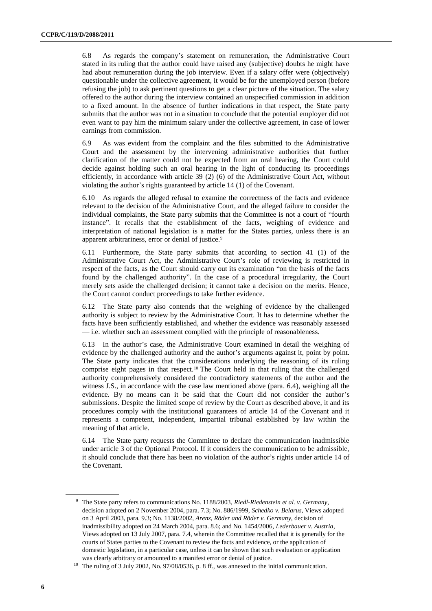6.8 As regards the company's statement on remuneration, the Administrative Court stated in its ruling that the author could have raised any (subjective) doubts he might have had about remuneration during the job interview. Even if a salary offer were (objectively) questionable under the collective agreement, it would be for the unemployed person (before refusing the job) to ask pertinent questions to get a clear picture of the situation. The salary offered to the author during the interview contained an unspecified commission in addition to a fixed amount. In the absence of further indications in that respect, the State party submits that the author was not in a situation to conclude that the potential employer did not even want to pay him the minimum salary under the collective agreement, in case of lower earnings from commission.

6.9 As was evident from the complaint and the files submitted to the Administrative Court and the assessment by the intervening administrative authorities that further clarification of the matter could not be expected from an oral hearing, the Court could decide against holding such an oral hearing in the light of conducting its proceedings efficiently, in accordance with article 39 (2) (6) of the Administrative Court Act, without violating the author's rights guaranteed by article 14 (1) of the Covenant.

6.10 As regards the alleged refusal to examine the correctness of the facts and evidence relevant to the decision of the Administrative Court, and the alleged failure to consider the individual complaints, the State party submits that the Committee is not a court of "fourth instance". It recalls that the establishment of the facts, weighing of evidence and interpretation of national legislation is a matter for the States parties, unless there is an apparent arbitrariness, error or denial of justice.<sup>9</sup>

6.11 Furthermore, the State party submits that according to section 41 (1) of the Administrative Court Act, the Administrative Court's role of reviewing is restricted in respect of the facts, as the Court should carry out its examination "on the basis of the facts found by the challenged authority". In the case of a procedural irregularity, the Court merely sets aside the challenged decision; it cannot take a decision on the merits. Hence, the Court cannot conduct proceedings to take further evidence.

6.12 The State party also contends that the weighing of evidence by the challenged authority is subject to review by the Administrative Court. It has to determine whether the facts have been sufficiently established, and whether the evidence was reasonably assessed — i.e. whether such an assessment complied with the principle of reasonableness.

6.13 In the author's case, the Administrative Court examined in detail the weighing of evidence by the challenged authority and the author's arguments against it, point by point. The State party indicates that the considerations underlying the reasoning of its ruling comprise eight pages in that respect.<sup>10</sup> The Court held in that ruling that the challenged authority comprehensively considered the contradictory statements of the author and the witness J.S., in accordance with the case law mentioned above (para. 6.4), weighing all the evidence. By no means can it be said that the Court did not consider the author's submissions. Despite the limited scope of review by the Court as described above, it and its procedures comply with the institutional guarantees of article 14 of the Covenant and it represents a competent, independent, impartial tribunal established by law within the meaning of that article.

6.14 The State party requests the Committee to declare the communication inadmissible under article 3 of the Optional Protocol. If it considers the communication to be admissible, it should conclude that there has been no violation of the author's rights under article 14 of the Covenant.

<sup>9</sup> The State party refers to communications No. 1188/2003, *Riedl-Riedenstein et al. v. Germany*, decision adopted on 2 November 2004, para. 7.3; No. 886/1999, *Schedko v. Belarus*, Views adopted on 3 April 2003, para. 9.3; No. 1138/2002, *Arenz, Röder and Röder v. Germany*, decision of inadmissibility adopted on 24 March 2004, para. 8.6; and No. 1454/2006, *Lederbauer v. Austria*, Views adopted on 13 July 2007, para. 7.4, wherein the Committee recalled that it is generally for the courts of States parties to the Covenant to review the facts and evidence, or the application of domestic legislation, in a particular case, unless it can be shown that such evaluation or application was clearly arbitrary or amounted to a manifest error or denial of justice.

<sup>&</sup>lt;sup>10</sup> The ruling of 3 July 2002, No. 97/08/0536, p. 8 ff., was annexed to the initial communication.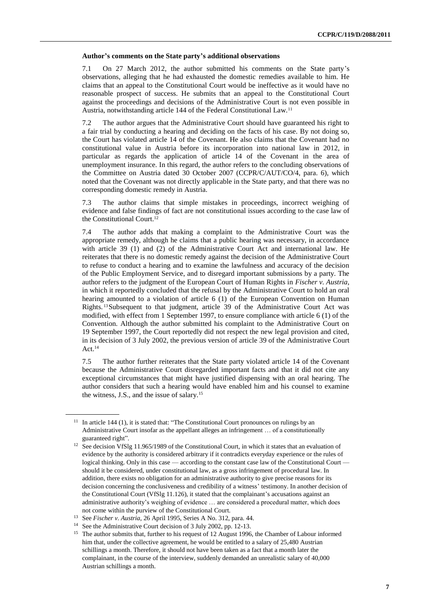#### **Author's comments on the State party's additional observations**

7.1 On 27 March 2012, the author submitted his comments on the State party's observations, alleging that he had exhausted the domestic remedies available to him. He claims that an appeal to the Constitutional Court would be ineffective as it would have no reasonable prospect of success. He submits that an appeal to the Constitutional Court against the proceedings and decisions of the Administrative Court is not even possible in Austria, notwithstanding article 144 of the Federal Constitutional Law.<sup>11</sup>

7.2 The author argues that the Administrative Court should have guaranteed his right to a fair trial by conducting a hearing and deciding on the facts of his case. By not doing so, the Court has violated article 14 of the Covenant. He also claims that the Covenant had no constitutional value in Austria before its incorporation into national law in 2012, in particular as regards the application of article 14 of the Covenant in the area of unemployment insurance. In this regard, the author refers to the concluding observations of the Committee on Austria dated 30 October 2007 (CCPR/C/AUT/CO/4, para. 6), which noted that the Covenant was not directly applicable in the State party, and that there was no corresponding domestic remedy in Austria.

7.3 The author claims that simple mistakes in proceedings, incorrect weighing of evidence and false findings of fact are not constitutional issues according to the case law of the Constitutional Court.<sup>12</sup>

7.4 The author adds that making a complaint to the Administrative Court was the appropriate remedy, although he claims that a public hearing was necessary, in accordance with article 39 (1) and (2) of the Administrative Court Act and international law. He reiterates that there is no domestic remedy against the decision of the Administrative Court to refuse to conduct a hearing and to examine the lawfulness and accuracy of the decision of the Public Employment Service, and to disregard important submissions by a party. The author refers to the judgment of the European Court of Human Rights in *Fischer v. Austria*, in which it reportedly concluded that the refusal by the Administrative Court to hold an oral hearing amounted to a violation of article 6 (1) of the European Convention on Human Rights. <sup>13</sup>Subsequent to that judgment, article 39 of the Administrative Court Act was modified, with effect from 1 September 1997, to ensure compliance with article 6 (1) of the Convention. Although the author submitted his complaint to the Administrative Court on 19 September 1997, the Court reportedly did not respect the new legal provision and cited, in its decision of 3 July 2002, the previous version of article 39 of the Administrative Court Act. $14$ 

7.5 The author further reiterates that the State party violated article 14 of the Covenant because the Administrative Court disregarded important facts and that it did not cite any exceptional circumstances that might have justified dispensing with an oral hearing. The author considers that such a hearing would have enabled him and his counsel to examine the witness, J.S., and the issue of salary.<sup>15</sup>

 $11$  In article 144 (1), it is stated that: "The Constitutional Court pronounces on rulings by an Administrative Court insofar as the appellant alleges an infringement … of a constitutionally guaranteed right".

<sup>&</sup>lt;sup>12</sup> See decision VfSlg 11.965/1989 of the Constitutional Court, in which it states that an evaluation of evidence by the authority is considered arbitrary if it contradicts everyday experience or the rules of logical thinking. Only in this case — according to the constant case law of the Constitutional Court – should it be considered, under constitutional law, as a gross infringement of procedural law. In addition, there exists no obligation for an administrative authority to give precise reasons for its decision concerning the conclusiveness and credibility of a witness' testimony. In another decision of the Constitutional Court (VfSlg 11.126), it stated that the complainant's accusations against an administrative authority's weighing of evidence … are considered a procedural matter, which does not come within the purview of the Constitutional Court.

<sup>13</sup> See *Fischer v. Austria*, 26 April 1995, Series A No. 312, para. 44.

<sup>&</sup>lt;sup>14</sup> See the Administrative Court decision of 3 July 2002, pp. 12-13.

<sup>&</sup>lt;sup>15</sup> The author submits that, further to his request of 12 August 1996, the Chamber of Labour informed him that, under the collective agreement, he would be entitled to a salary of 25,480 Austrian schillings a month. Therefore, it should not have been taken as a fact that a month later the complainant, in the course of the interview, suddenly demanded an unrealistic salary of 40,000 Austrian schillings a month.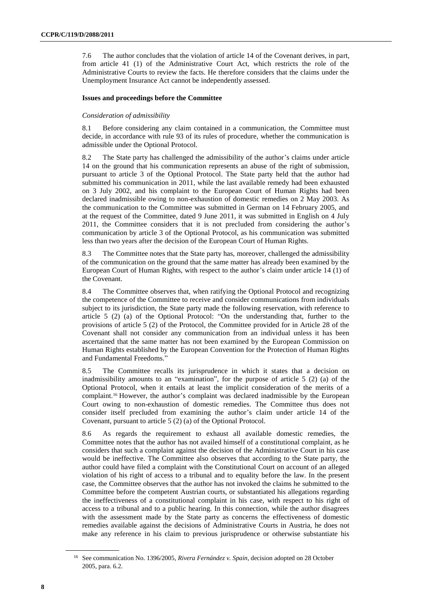7.6 The author concludes that the violation of article 14 of the Covenant derives, in part, from article 41 (1) of the Administrative Court Act, which restricts the role of the Administrative Courts to review the facts. He therefore considers that the claims under the Unemployment Insurance Act cannot be independently assessed.

#### **Issues and proceedings before the Committee**

#### *Consideration of admissibility*

8.1 Before considering any claim contained in a communication, the Committee must decide, in accordance with rule 93 of its rules of procedure, whether the communication is admissible under the Optional Protocol.

8.2 The State party has challenged the admissibility of the author's claims under article 14 on the ground that his communication represents an abuse of the right of submission, pursuant to article 3 of the Optional Protocol. The State party held that the author had submitted his communication in 2011, while the last available remedy had been exhausted on 3 July 2002, and his complaint to the European Court of Human Rights had been declared inadmissible owing to non-exhaustion of domestic remedies on 2 May 2003. As the communication to the Committee was submitted in German on 14 February 2005, and at the request of the Committee, dated 9 June 2011, it was submitted in English on 4 July 2011, the Committee considers that it is not precluded from considering the author's communication by article 3 of the Optional Protocol, as his communication was submitted less than two years after the decision of the European Court of Human Rights.

8.3 The Committee notes that the State party has, moreover, challenged the admissibility of the communication on the ground that the same matter has already been examined by the European Court of Human Rights, with respect to the author's claim under article 14 (1) of the Covenant.

8.4 The Committee observes that, when ratifying the Optional Protocol and recognizing the competence of the Committee to receive and consider communications from individuals subject to its jurisdiction, the State party made the following reservation, with reference to article 5 (2) (a) of the Optional Protocol: "On the understanding that, further to the provisions of article 5 (2) of the Protocol, the Committee provided for in Article 28 of the Covenant shall not consider any communication from an individual unless it has been ascertained that the same matter has not been examined by the European Commission on Human Rights established by the European Convention for the Protection of Human Rights and Fundamental Freedoms."

8.5 The Committee recalls its jurisprudence in which it states that a decision on inadmissibility amounts to an "examination", for the purpose of article 5 (2) (a) of the Optional Protocol, when it entails at least the implicit consideration of the merits of a complaint.<sup>16</sup> However, the author's complaint was declared inadmissible by the European Court owing to non-exhaustion of domestic remedies. The Committee thus does not consider itself precluded from examining the author's claim under article 14 of the Covenant, pursuant to article 5 (2) (a) of the Optional Protocol.

8.6 As regards the requirement to exhaust all available domestic remedies, the Committee notes that the author has not availed himself of a constitutional complaint, as he considers that such a complaint against the decision of the Administrative Court in his case would be ineffective. The Committee also observes that according to the State party, the author could have filed a complaint with the Constitutional Court on account of an alleged violation of his right of access to a tribunal and to equality before the law. In the present case, the Committee observes that the author has not invoked the claims he submitted to the Committee before the competent Austrian courts, or substantiated his allegations regarding the ineffectiveness of a constitutional complaint in his case, with respect to his right of access to a tribunal and to a public hearing. In this connection, while the author disagrees with the assessment made by the State party as concerns the effectiveness of domestic remedies available against the decisions of Administrative Courts in Austria, he does not make any reference in his claim to previous jurisprudence or otherwise substantiate his

<sup>16</sup> See communication No. 1396/2005, *Rivera Fernández v. Spain*, decision adopted on 28 October 2005, para. 6.2.